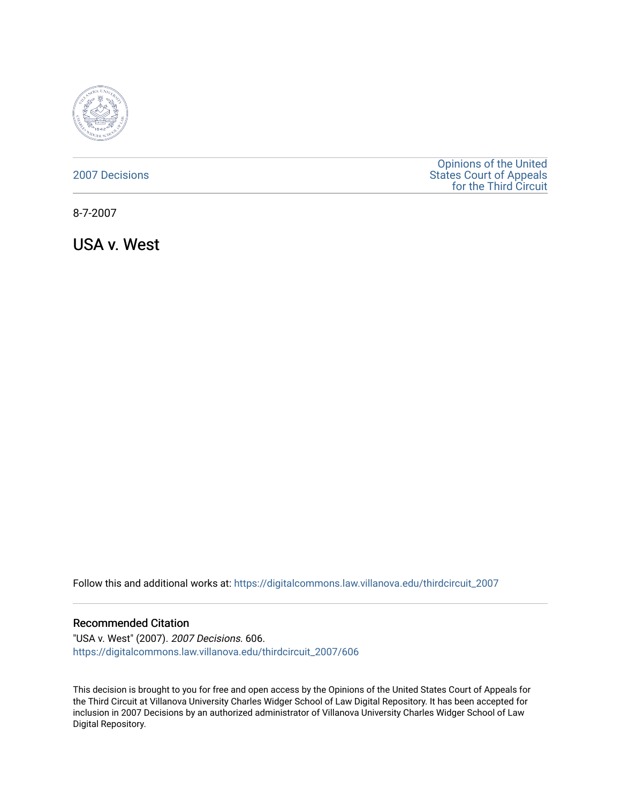

| <b>2007 Decisions</b> |  |
|-----------------------|--|
|                       |  |

[Opinions of the United](https://digitalcommons.law.villanova.edu/thirdcircuit)  [States Court of Appeals](https://digitalcommons.law.villanova.edu/thirdcircuit)  [for the Third Circuit](https://digitalcommons.law.villanova.edu/thirdcircuit) 

8-7-2007

USA v. West

Follow this and additional works at: [https://digitalcommons.law.villanova.edu/thirdcircuit\\_2007](https://digitalcommons.law.villanova.edu/thirdcircuit_2007?utm_source=digitalcommons.law.villanova.edu%2Fthirdcircuit_2007%2F606&utm_medium=PDF&utm_campaign=PDFCoverPages) 

#### Recommended Citation

"USA v. West" (2007). 2007 Decisions. 606. [https://digitalcommons.law.villanova.edu/thirdcircuit\\_2007/606](https://digitalcommons.law.villanova.edu/thirdcircuit_2007/606?utm_source=digitalcommons.law.villanova.edu%2Fthirdcircuit_2007%2F606&utm_medium=PDF&utm_campaign=PDFCoverPages)

This decision is brought to you for free and open access by the Opinions of the United States Court of Appeals for the Third Circuit at Villanova University Charles Widger School of Law Digital Repository. It has been accepted for inclusion in 2007 Decisions by an authorized administrator of Villanova University Charles Widger School of Law Digital Repository.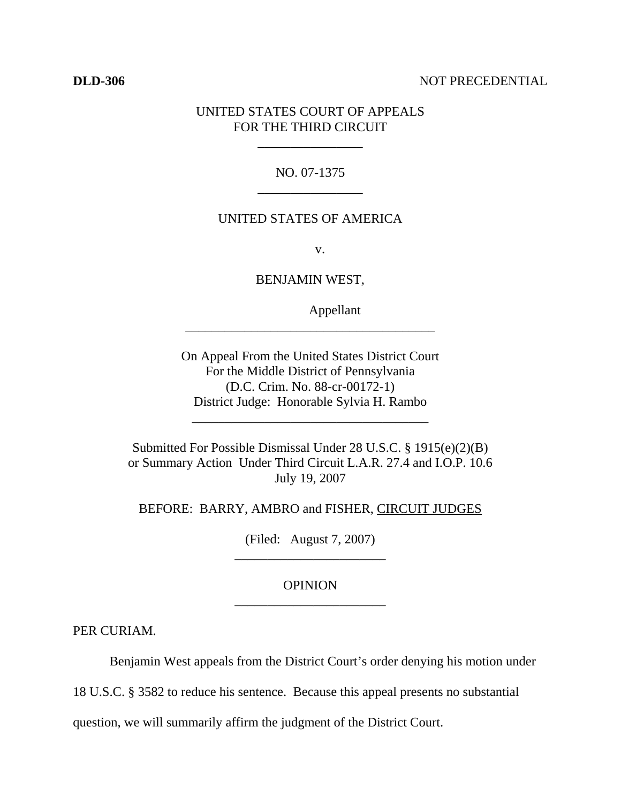#### **DLD-306** NOT PRECEDENTIAL

# UNITED STATES COURT OF APPEALS FOR THE THIRD CIRCUIT

\_\_\_\_\_\_\_\_\_\_\_\_\_\_\_\_

## NO. 07-1375 \_\_\_\_\_\_\_\_\_\_\_\_\_\_\_\_

#### UNITED STATES OF AMERICA

v.

BENJAMIN WEST,

\_\_\_\_\_\_\_\_\_\_\_\_\_\_\_\_\_\_\_\_\_\_\_\_\_\_\_\_\_\_\_\_\_\_\_\_\_\_

Appellant

On Appeal From the United States District Court For the Middle District of Pennsylvania (D.C. Crim. No. 88-cr-00172-1) District Judge: Honorable Sylvia H. Rambo

\_\_\_\_\_\_\_\_\_\_\_\_\_\_\_\_\_\_\_\_\_\_\_\_\_\_\_\_\_\_\_\_\_\_\_\_

Submitted For Possible Dismissal Under 28 U.S.C. § 1915(e)(2)(B) or Summary Action Under Third Circuit L.A.R. 27.4 and I.O.P. 10.6 July 19, 2007

BEFORE: BARRY, AMBRO and FISHER, CIRCUIT JUDGES

(Filed: August 7, 2007) \_\_\_\_\_\_\_\_\_\_\_\_\_\_\_\_\_\_\_\_\_\_\_

## **OPINION** \_\_\_\_\_\_\_\_\_\_\_\_\_\_\_\_\_\_\_\_\_\_\_

PER CURIAM.

Benjamin West appeals from the District Court's order denying his motion under

18 U.S.C. § 3582 to reduce his sentence. Because this appeal presents no substantial

question, we will summarily affirm the judgment of the District Court.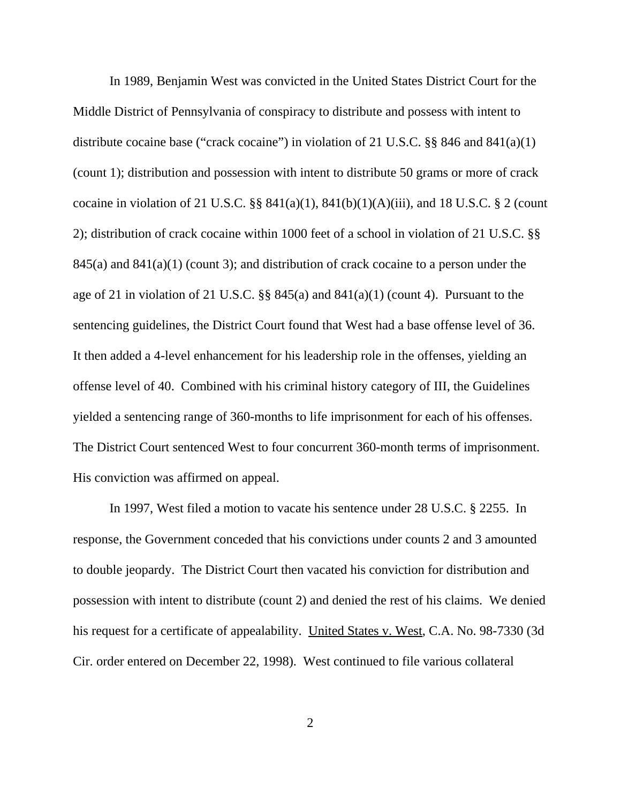In 1989, Benjamin West was convicted in the United States District Court for the Middle District of Pennsylvania of conspiracy to distribute and possess with intent to distribute cocaine base ("crack cocaine") in violation of 21 U.S.C. §§ 846 and 841(a)(1) (count 1); distribution and possession with intent to distribute 50 grams or more of crack cocaine in violation of 21 U.S.C.  $\S$ § 841(a)(1), 841(b)(1)(A)(iii), and 18 U.S.C. § 2 (count 2); distribution of crack cocaine within 1000 feet of a school in violation of 21 U.S.C. §§  $845(a)$  and  $841(a)(1)$  (count 3); and distribution of crack cocaine to a person under the age of 21 in violation of 21 U.S.C.  $\S$  845(a) and 841(a)(1) (count 4). Pursuant to the sentencing guidelines, the District Court found that West had a base offense level of 36. It then added a 4-level enhancement for his leadership role in the offenses, yielding an offense level of 40. Combined with his criminal history category of III, the Guidelines yielded a sentencing range of 360-months to life imprisonment for each of his offenses. The District Court sentenced West to four concurrent 360-month terms of imprisonment. His conviction was affirmed on appeal.

In 1997, West filed a motion to vacate his sentence under 28 U.S.C. § 2255. In response, the Government conceded that his convictions under counts 2 and 3 amounted to double jeopardy. The District Court then vacated his conviction for distribution and possession with intent to distribute (count 2) and denied the rest of his claims. We denied his request for a certificate of appealability. United States v. West, C.A. No. 98-7330 (3d Cir. order entered on December 22, 1998). West continued to file various collateral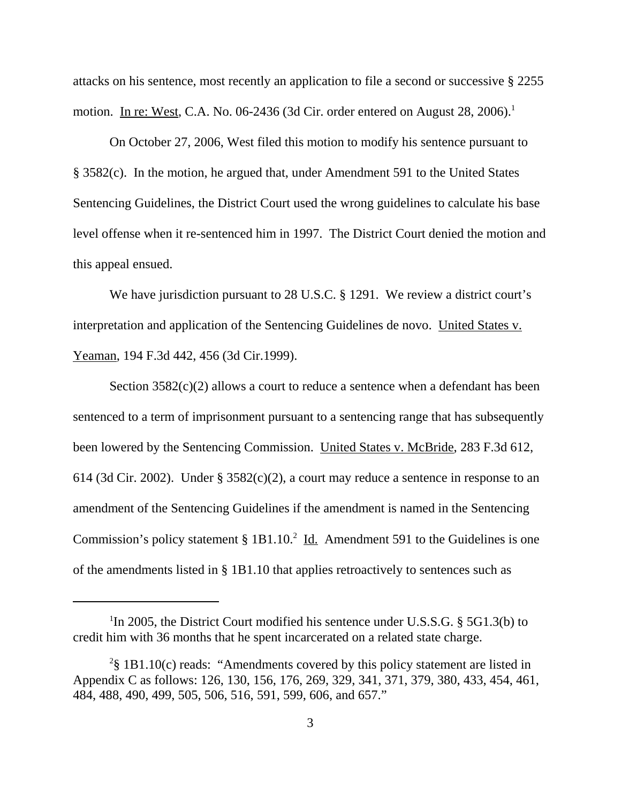attacks on his sentence, most recently an application to file a second or successive § 2255 motion. In re: West, C.A. No. 06-2436 (3d Cir. order entered on August 28, 2006).<sup>1</sup>

On October 27, 2006, West filed this motion to modify his sentence pursuant to § 3582(c). In the motion, he argued that, under Amendment 591 to the United States Sentencing Guidelines, the District Court used the wrong guidelines to calculate his base level offense when it re-sentenced him in 1997. The District Court denied the motion and this appeal ensued.

We have jurisdiction pursuant to 28 U.S.C. § 1291. We review a district court's interpretation and application of the Sentencing Guidelines de novo. United States v. Yeaman, 194 F.3d 442, 456 (3d Cir.1999).

Section  $3582(c)(2)$  allows a court to reduce a sentence when a defendant has been sentenced to a term of imprisonment pursuant to a sentencing range that has subsequently been lowered by the Sentencing Commission. United States v. McBride, 283 F.3d 612, 614 (3d Cir. 2002). Under § 3582(c)(2), a court may reduce a sentence in response to an amendment of the Sentencing Guidelines if the amendment is named in the Sentencing Commission's policy statement §  $1B1.10<sup>2</sup>$  <u>Id.</u> Amendment 591 to the Guidelines is one of the amendments listed in § 1B1.10 that applies retroactively to sentences such as

<sup>&</sup>lt;sup>1</sup>In 2005, the District Court modified his sentence under U.S.S.G. § 5G1.3(b) to credit him with 36 months that he spent incarcerated on a related state charge.

<sup>&</sup>lt;sup>2</sup>§ 1B1.10(c) reads: "Amendments covered by this policy statement are listed in Appendix C as follows: 126, 130, 156, 176, 269, 329, 341, 371, 379, 380, 433, 454, 461, 484, 488, 490, 499, 505, 506, 516, 591, 599, 606, and 657."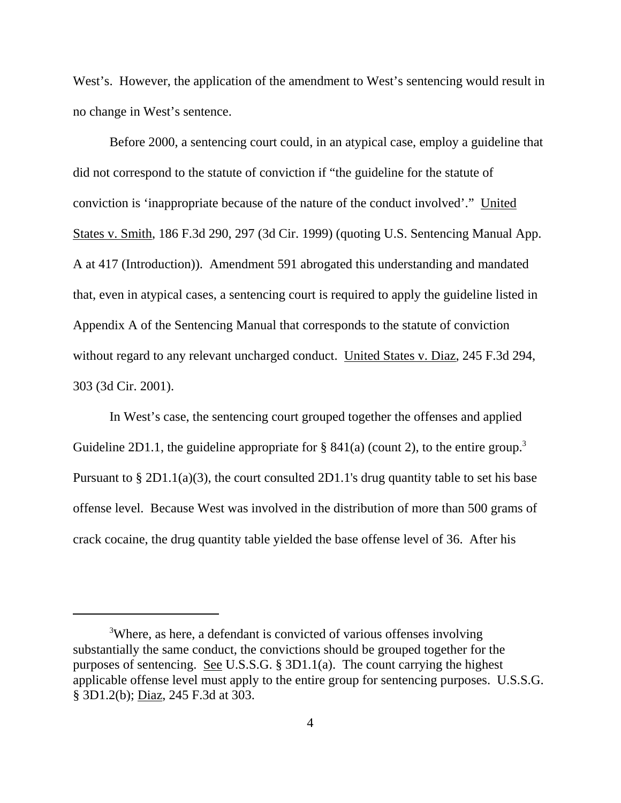West's. However, the application of the amendment to West's sentencing would result in no change in West's sentence.

Before 2000, a sentencing court could, in an atypical case, employ a guideline that did not correspond to the statute of conviction if "the guideline for the statute of conviction is 'inappropriate because of the nature of the conduct involved'." United States v. Smith, 186 F.3d 290, 297 (3d Cir. 1999) (quoting U.S. Sentencing Manual App. A at 417 (Introduction)). Amendment 591 abrogated this understanding and mandated that, even in atypical cases, a sentencing court is required to apply the guideline listed in Appendix A of the Sentencing Manual that corresponds to the statute of conviction without regard to any relevant uncharged conduct. United States v. Diaz, 245 F.3d 294, 303 (3d Cir. 2001).

In West's case, the sentencing court grouped together the offenses and applied Guideline 2D1.1, the guideline appropriate for  $\S$  841(a) (count 2), to the entire group.<sup>3</sup> Pursuant to § 2D1.1(a)(3), the court consulted 2D1.1's drug quantity table to set his base offense level. Because West was involved in the distribution of more than 500 grams of crack cocaine, the drug quantity table yielded the base offense level of 36. After his

<sup>&</sup>lt;sup>3</sup>Where, as here, a defendant is convicted of various offenses involving substantially the same conduct, the convictions should be grouped together for the purposes of sentencing. See U.S.S.G. § 3D1.1(a). The count carrying the highest applicable offense level must apply to the entire group for sentencing purposes. U.S.S.G. § 3D1.2(b); Diaz, 245 F.3d at 303.